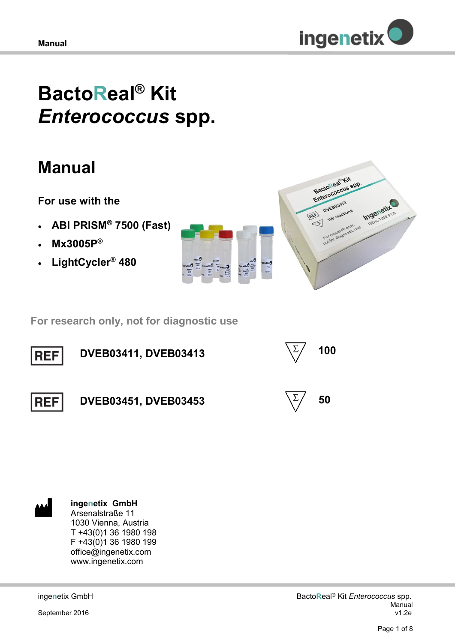

# **BactoReal® Kit**  *Enterococcus* **spp.**

## **Manual**

## **For use with the**

- **ABI PRISM® 7500 (Fast)**
- **Mx3005P®**
- **LightCycler® 480**





 **For research only, not for diagnostic use**





#### **ingenetix GmbH** Arsenalstraße 11

1030 Vienna, Austria T +43(0)1 36 1980 198 F +43(0)1 36 1980 199 office@ingenetix.com www.ingenetix.com

inge**n**etix GmbH

September 2016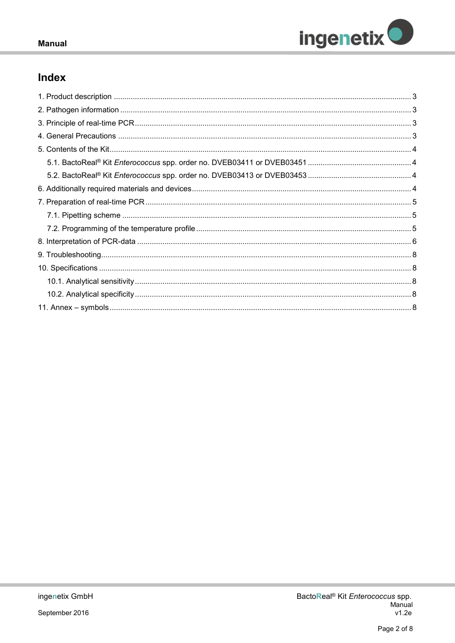

## Index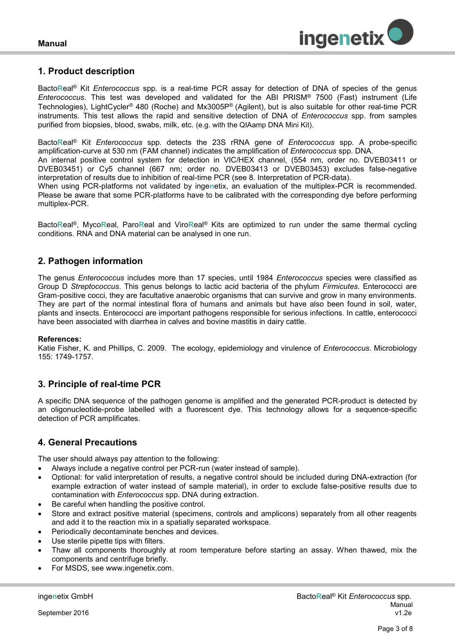

## <span id="page-2-0"></span>**1. Product description**

Bacto**R**eal® Kit *Enterococcus* spp. is a real-time PCR assay for detection of DNA of species of the genus *Enterococcus*. This test was developed and validated for the ABI PRISM® 7500 (Fast) instrument (Life Technologies), LightCycler® 480 (Roche) and Mx3005P® (Agilent), but is also suitable for other real-time PCR instruments. This test allows the rapid and sensitive detection of DNA of *Enterococcus* spp. from samples purified from biopsies, blood, swabs, milk, etc. (e.g. with the QIAamp DNA Mini Kit).

Bacto**R**eal® Kit *Enterococcus* spp. detects the 23S rRNA gene of *Enterococcus* spp. A probe-specific amplification-curve at 530 nm (FAM channel) indicates the amplification of *Enterococcus* spp. DNA.

An internal positive control system for detection in VIC/HEX channel, (554 nm, order no. DVEB03411 or DVEB03451) or Cy5 channel (667 nm; order no. DVEB03413 or DVEB03453) excludes false-negative interpretation of results due to inhibition of real-time PCR (see 8. Interpretation of PCR-data).

When using PCR-platforms not validated by inge**n**etix, an evaluation of the multiplex-PCR is recommended. Please be aware that some PCR-platforms have to be calibrated with the corresponding dye before performing multiplex-PCR.

Bacto**R**eal®, Myco**R**eal, Paro**R**eal and Viro**R**eal® Kits are optimized to run under the same thermal cycling conditions. RNA and DNA material can be analysed in one run.

## <span id="page-2-1"></span>**2. Pathogen information**

The genus *Enterococcus* includes more than 17 species, until 1984 *Enterococcus* species were classified as Group D *Streptococcus*. This genus belongs to lactic acid bacteria of the phylum *Firmicutes*. Enterococci are Gram-positive cocci, they are facultative anaerobic organisms that can survive and grow in many environments. They are part of the normal intestinal flora of humans and animals but have also been found in soil, water, plants and insects. Enterococci are important pathogens responsible for serious infections. In cattle, enterococci have been associated with diarrhea in calves and bovine mastitis in dairy cattle.

## **References:**

Katie Fisher, K. and Phillips, C. 2009. The ecology, epidemiology and virulence of *Enterococcus*. Microbiology 155: 1749-1757.

## <span id="page-2-2"></span>**3. Principle of real-time PCR**

A specific DNA sequence of the pathogen genome is amplified and the generated PCR-product is detected by an oligonucleotide-probe labelled with a fluorescent dye. This technology allows for a sequence-specific detection of PCR amplificates.

## <span id="page-2-3"></span>**4. General Precautions**

The user should always pay attention to the following:

- Always include a negative control per PCR-run (water instead of sample).
- Optional: for valid interpretation of results, a negative control should be included during DNA-extraction (for example extraction of water instead of sample material), in order to exclude false-positive results due to contamination with *Enterococcus* spp. DNA during extraction.
- Be careful when handling the positive control.
- Store and extract positive material (specimens, controls and amplicons) separately from all other reagents and add it to the reaction mix in a spatially separated workspace.
- Periodically decontaminate benches and devices.
- Use sterile pipette tips with filters.
- Thaw all components thoroughly at room temperature before starting an assay. When thawed, mix the components and centrifuge briefly.
- For MSDS, see www.ingenetix.com.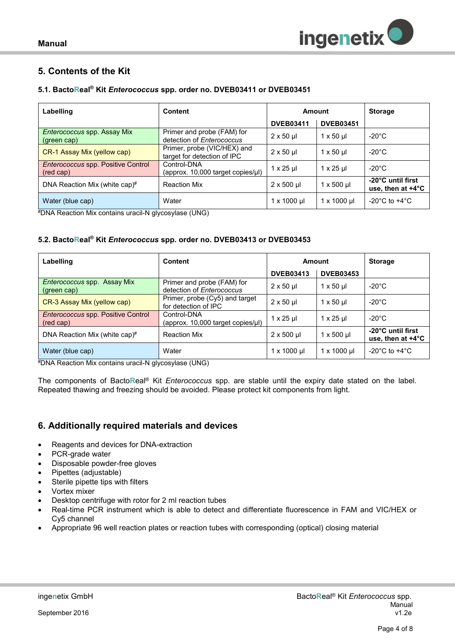

## <span id="page-3-0"></span>**5. Contents of the Kit**

## <span id="page-3-1"></span>**5.1. BactoReal® Kit** *Enterococcus* **spp. order no. DVEB03411 or DVEB03451**

| Labelling                                              | <b>Content</b>                                             | Amount              |                         | <b>Storage</b>                                   |
|--------------------------------------------------------|------------------------------------------------------------|---------------------|-------------------------|--------------------------------------------------|
|                                                        |                                                            | <b>DVEB03411</b>    | <b>DVEB03451</b>        |                                                  |
| Enterococcus spp. Assay Mix<br>(green cap)             | Primer and probe (FAM) for<br>detection of Enterococcus    | $2 \times 50$ µ     | $1 \times 50 \text{ µ}$ | $-20^{\circ}$ C                                  |
| CR-1 Assay Mix (yellow cap)                            | Primer, probe (VIC/HEX) and<br>target for detection of IPC | $2 \times 50$ µ     | $1 \times 50$ µ         | $-20^{\circ}$ C                                  |
| <b>Enterococcus spp. Positive Control</b><br>(red cap) | Control-DNA<br>(approx. 10,000 target copies/µl)           | $1 \times 25$ µ     | $1 \times 25$ µ         | $-20^{\circ}$ C                                  |
| DNA Reaction Mix (white cap)#                          | <b>Reaction Mix</b>                                        | $2 \times 500$ µl   | $1 \times 500$ µl       | -20°C until first<br>use, then at $+4^{\circ}$ C |
| Water (blue cap)                                       | Water                                                      | $1 \times 1000 \mu$ | $1 \times 1000 \mu$     | -20 $^{\circ}$ C to +4 $^{\circ}$ C              |

#DNA Reaction Mix contains uracil-N glycosylase (UNG)

## <span id="page-3-2"></span>**5.2. BactoReal® Kit** *Enterococcus* **spp. order no. DVEB03413 or DVEB03453**

| Labelling                                              | <b>Content</b>                                          | Amount              |                    | <b>Storage</b>                                   |
|--------------------------------------------------------|---------------------------------------------------------|---------------------|--------------------|--------------------------------------------------|
|                                                        |                                                         | <b>DVEB03413</b>    | <b>DVEB03453</b>   |                                                  |
| <i>Enterococcus</i> spp. Assay Mix<br>(green cap)      | Primer and probe (FAM) for<br>detection of Enterococcus | $2 \times 50$ µ     | $1 \times 50$ µ    | $-20^{\circ}$ C                                  |
| CR-3 Assay Mix (yellow cap)                            | Primer, probe (Cy5) and target<br>for detection of IPC  | $2 \times 50$ µ     | $1 \times 50$ µ    | $-20^{\circ}$ C                                  |
| <b>Enterococcus spp. Positive Control</b><br>(red cap) | Control-DNA<br>(approx. 10,000 target copies/µl)        | $1 \times 25$ µl    | $1 \times 25$ µ    | $-20^{\circ}$ C                                  |
| DNA Reaction Mix (white cap) $#$                       | <b>Reaction Mix</b>                                     | $2 \times 500$ µl   | $1 \times 500$ µl  | -20°C until first<br>use, then at $+4^{\circ}$ C |
| Water (blue cap)                                       | Water                                                   | $1 \times 1000 \mu$ | $1 \times 1000$ µl | -20 $^{\circ}$ C to +4 $^{\circ}$ C              |

#DNA Reaction Mix contains uracil-N glycosylase (UNG)

The components of Bacto**R**eal® Kit *Enterococcus* spp. are stable until the expiry date stated on the label. Repeated thawing and freezing should be avoided. Please protect kit components from light.

## <span id="page-3-3"></span>**6. Additionally required materials and devices**

- Reagents and devices for DNA-extraction
- PCR-grade water
- Disposable powder-free gloves
- Pipettes (adjustable)
- Sterile pipette tips with filters
- Vortex mixer
- Desktop centrifuge with rotor for 2 ml reaction tubes
- Real-time PCR instrument which is able to detect and differentiate fluorescence in FAM and VIC/HEX or Cy5 channel
- Appropriate 96 well reaction plates or reaction tubes with corresponding (optical) closing material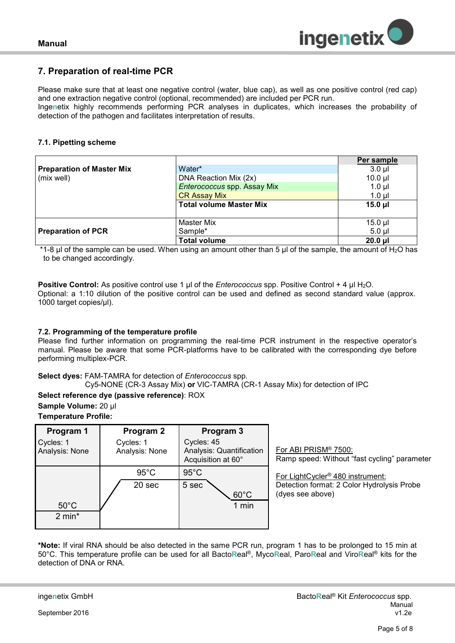

## <span id="page-4-0"></span>**7. Preparation of real-time PCR**

Please make sure that at least one negative control (water, blue cap), as well as one positive control (red cap) and one extraction negative control (optional, recommended) are included per PCR run.

Inge**n**etix highly recommends performing PCR analyses in duplicates, which increases the probability of detection of the pathogen and facilitates interpretation of results*.*

## <span id="page-4-1"></span>**7.1. Pipetting scheme**

|                           |                                | Per sample   |
|---------------------------|--------------------------------|--------------|
| Preparation of Master Mix | Water*                         | $3.0 \mu l$  |
| (mix well)                | DNA Reaction Mix (2x)          | $10.0$ $\mu$ |
|                           | Enterococcus spp. Assay Mix    | $1.0 \mu$    |
|                           | <b>CR Assay Mix</b>            | $1.0$ $\mu$  |
|                           | <b>Total volume Master Mix</b> | $15.0 \mu$   |
|                           |                                |              |
|                           | <b>Master Mix</b>              | $15.0$ µl    |
| <b>Preparation of PCR</b> | Sample*                        | $5.0$ ul     |
|                           | <b>Total volume</b>            | $20.0$ $\mu$ |

\*1-8  $\mu$ l of the sample can be used. When using an amount other than 5  $\mu$ l of the sample, the amount of H<sub>2</sub>O has to be changed accordingly.

**Positive Control:** As positive control use 1 µl of the *Enterococcus* spp. Positive Control + 4 µl H<sub>2</sub>O. Optional: a 1:10 dilution of the positive control can be used and defined as second standard value (approx. 1000 target copies/µl).

## <span id="page-4-2"></span>**7.2. Programming of the temperature profile**

Please find further information on programming the real-time PCR instrument in the respective operator's manual. Please be aware that some PCR-platforms have to be calibrated with the corresponding dye before performing multiplex-PCR.

## **Select dyes:** FAM-TAMRA for detection of *Enterococcus* spp.

Cy5-NONE (CR-3 Assay Mix) **or** VIC-TAMRA (CR-1 Assay Mix) for detection of IPC

## **Select reference dye (passive reference)**: ROX

**Sample Volume:** 20 µl

**Temperature Profile:** 

| Program 1<br>Cycles: 1<br>Analysis: None | Program 2<br>Cycles: 1<br>Analysis: None |                | Cycles: 45<br>Acquisition at 60° | Program 3<br>Analysis: Quantification | $\frac{F}{F}$ |
|------------------------------------------|------------------------------------------|----------------|----------------------------------|---------------------------------------|---------------|
|                                          |                                          | $95^{\circ}$ C | $95^{\circ}$ C                   |                                       |               |
|                                          |                                          | 20 sec         | 5 sec                            |                                       | l<br>E        |
| $50^{\circ}$ C                           |                                          |                |                                  | $60^{\circ}$ C<br>1 min               |               |
| $2 min*$                                 |                                          |                |                                  |                                       |               |

For ABI PRISM® 7500: Ramp speed: Without "fast cycling" parameter

For LightCycler® 480 instrument: Detection format: 2 Color Hydrolysis Probe (dyes see above)

**\*Note:** If viral RNA should be also detected in the same PCR run, program 1 has to be prolonged to 15 min at 50°C. This temperature profile can be used for all Bacto**R**eal®, Myco**R**eal, Paro**R**eal and Viro**R**eal® kits for the detection of DNA or RNA.

September 2016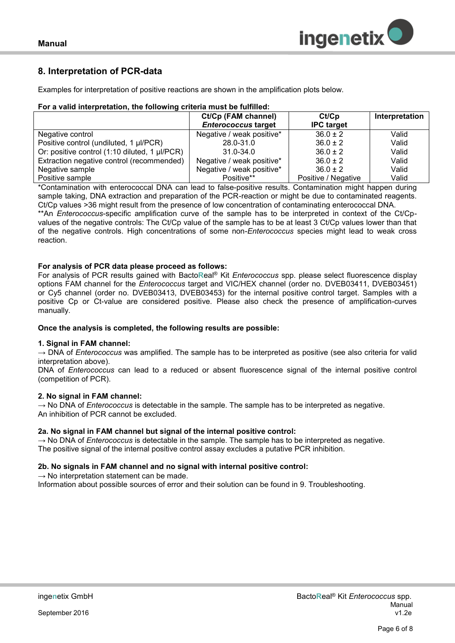

## <span id="page-5-0"></span>**8. Interpretation of PCR-data**

Examples for interpretation of positive reactions are shown in the amplification plots below.

## **For a valid interpretation, the following criteria must be fulfilled:**

|                                               | Ct/Cp (FAM channel)        | Ct/Cp               | Interpretation |
|-----------------------------------------------|----------------------------|---------------------|----------------|
|                                               | <b>Enterococcus target</b> | <b>IPC</b> target   |                |
| Negative control                              | Negative / weak positive*  | $36.0 \pm 2$        | Valid          |
| Positive control (undiluted, 1 µl/PCR)        | 28.0-31.0                  | $36.0 \pm 2$        | Valid          |
| Or: positive control (1:10 diluted, 1 µl/PCR) | $31.0 - 34.0$              | $36.0 \pm 2$        | Valid          |
| Extraction negative control (recommended)     | Negative / weak positive*  | $36.0 \pm 2$        | Valid          |
| Negative sample                               | Negative / weak positive*  | $36.0 \pm 2$        | Valid          |
| Positive sample                               | Positive**                 | Positive / Negative | Valid          |

\*Contamination with enterococcal DNA can lead to false-positive results. Contamination might happen during sample taking, DNA extraction and preparation of the PCR-reaction or might be due to contaminated reagents. Ct/Cp values >36 might result from the presence of low concentration of contaminating enterococcal DNA. \*\*An *Enterococcus*-specific amplification curve of the sample has to be interpreted in context of the Ct/Cpvalues of the negative controls: The Ct/Cp value of the sample has to be at least 3 Ct/Cp values lower than that of the negative controls. High concentrations of some non-*Enterococcus* species might lead to weak cross reaction.

## **For analysis of PCR data please proceed as follows:**

For analysis of PCR results gained with Bacto**R**eal® Kit *Enterococcus* spp. please select fluorescence display options FAM channel for the *Enterococcus* target and VIC/HEX channel (order no. DVEB03411, DVEB03451) or Cy5 channel (order no. DVEB03413, DVEB03453) for the internal positive control target. Samples with a positive Cp or Ct-value are considered positive. Please also check the presence of amplification-curves manually.

## **Once the analysis is completed, the following results are possible:**

## **1. Signal in FAM channel:**

→ DNA of *Enterococcus* was amplified. The sample has to be interpreted as positive (see also criteria for valid interpretation above).

DNA of *Enterococcus* can lead to a reduced or absent fluorescence signal of the internal positive control (competition of PCR).

## **2. No signal in FAM channel:**

→ No DNA of *Enterococcus* is detectable in the sample. The sample has to be interpreted as negative. An inhibition of PCR cannot be excluded.

## **2a. No signal in FAM channel but signal of the internal positive control:**

 $\rightarrow$  No DNA of *Enterococcus* is detectable in the sample. The sample has to be interpreted as negative. The positive signal of the internal positive control assay excludes a putative PCR inhibition.

## **2b. No signals in FAM channel and no signal with internal positive control:**

 $\rightarrow$  No interpretation statement can be made.

Information about possible sources of error and their solution can be found in 9. Troubleshooting.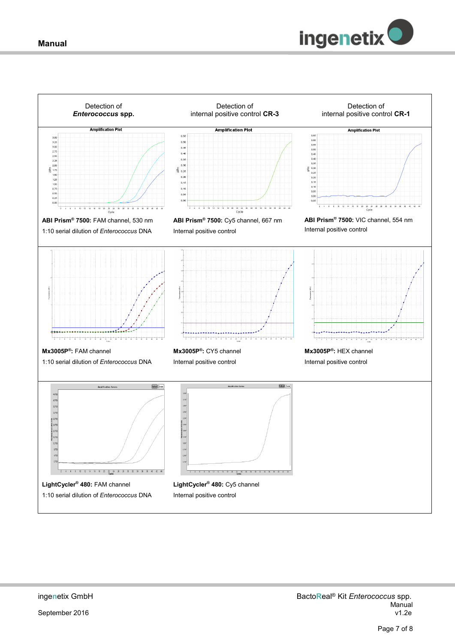